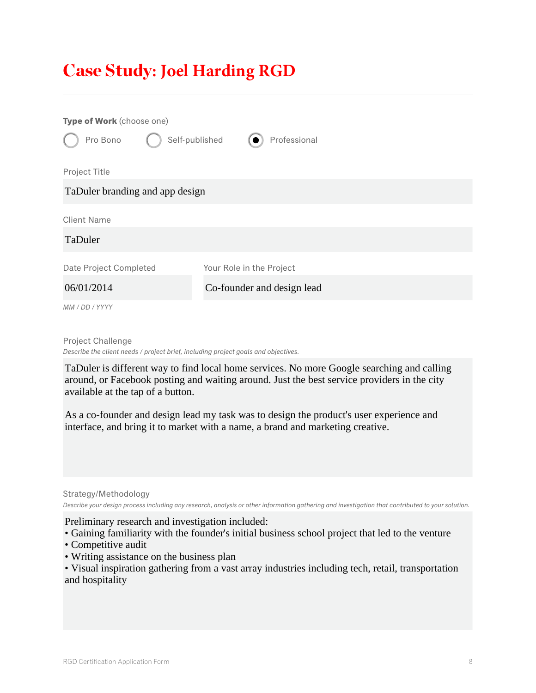## Case Study**: Joel Harding RGD**

| Type of Work (choose one)<br>Self-published<br>Pro Bono | Professional               |
|---------------------------------------------------------|----------------------------|
| Project Title                                           |                            |
| TaDuler branding and app design                         |                            |
| <b>Client Name</b>                                      |                            |
| TaDuler                                                 |                            |
| Date Project Completed                                  | Your Role in the Project   |
| 06/01/2014                                              | Co-founder and design lead |
| MM / DD / YYYY                                          |                            |

Project Challenge *Describe the client needs / project brief, including project goals and objectives.*

TaDuler is different way to find local home services. No more Google searching and calling around, or Facebook posting and waiting around. Just the best service providers in the city available at the tap of a button.

As a co-founder and design lead my task was to design the product's user experience and interface, and bring it to market with a name, a brand and marketing creative.

Strategy/Methodology *Describe your design process including any research, analysis or other information gathering and investigation that contributed to your solution.*

Preliminary research and investigation included:

• Gaining familiarity with the founder's initial business school project that led to the venture

- Competitive audit
- Writing assistance on the business plan

• Visual inspiration gathering from a vast array industries including tech, retail, transportation and hospitality